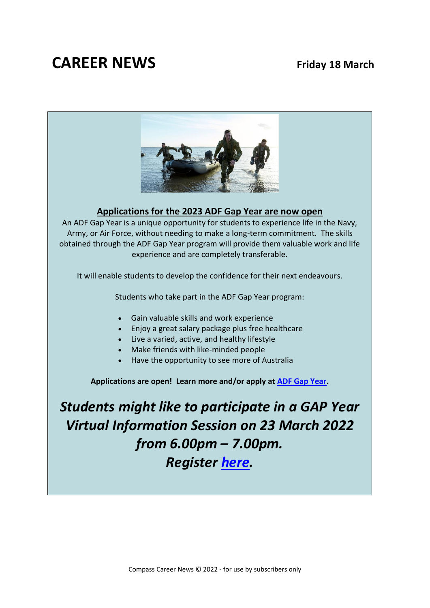## **CAREER NEWS Friday 18 March**



### **Applications for the 2023 ADF Gap Year are now open**

An ADF Gap Year is a unique opportunity for students to experience life in the Navy, Army, or Air Force, without needing to make a long-term commitment. The skills obtained through the ADF Gap Year program will provide them valuable work and life experience and are completely transferable.

It will enable students to develop the confidence for their next endeavours.

Students who take part in the ADF Gap Year program:

- Gain valuable skills and work experience
- Enjoy a great salary package plus free healthcare
- Live a varied, active, and healthy lifestyle
- Make friends with like-minded people
- Have the opportunity to see more of Australia

**Applications are open! Learn more and/or apply at [ADF Gap Year.](https://www.defencejobs.gov.au/students-and-education/gap-year?page=1&perPage=21&query=)**

*Students might like to participate in a GAP Year Virtual Information Session on 23 March 2022 from 6.00pm – 7.00pm. Register [here.](https://www.defencejobs.gov.au/events/events-detail/m60rlha)*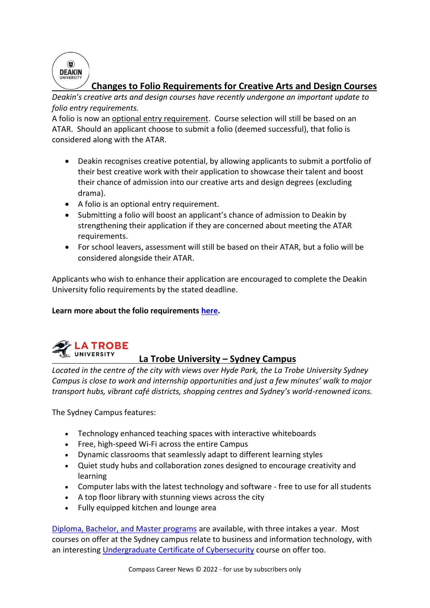$\circled{a}$ **DEAKIN** 

### **Changes to Folio Requirements for Creative Arts and Design Courses**

*Deakin's creative arts and design courses have recently undergone an important update to folio entry requirements.*

A folio is now an optional entry requirement. Course selection will still be based on an ATAR. Should an applicant choose to submit a folio (deemed successful), that folio is considered along with the ATAR.

- Deakin recognises creative potential, by allowing applicants to submit a portfolio of their best creative work with their application to showcase their talent and boost their chance of admission into our creative arts and design degrees (excluding drama).
- A folio is an optional entry requirement.
- Submitting a folio will boost an applicant's chance of admission to Deakin by strengthening their application if they are concerned about meeting the ATAR requirements.
- For school leavers, assessment will still be based on their ATAR, but a folio will be considered alongside their ATAR.

Applicants who wish to enhance their application are encouraged to complete the Deakin University folio requirements by the stated deadline.

### **Learn more about the folio requirements [here.](https://www.deakin.edu.au/communication-creative-arts/portfolio-applications)**



### **La Trobe University – Sydney Campus**

*Located in the centre of the city with views over Hyde Park, the La Trobe University Sydney Campus is close to work and internship opportunities and just a few minutes' walk to major transport hubs, vibrant café districts, shopping centres and Sydney's world-renowned icons.*

The Sydney Campus features:

- Technology enhanced teaching spaces with interactive whiteboards
- Free, high-speed Wi-Fi across the entire Campus
- Dynamic classrooms that seamlessly adapt to different learning styles
- Quiet study hubs and collaboration zones designed to encourage creativity and learning
- Computer labs with the latest technology and software free to use for all students
- A top floor library with stunning views across the city
- Fully equipped kitchen and lounge area

[Diploma, Bachelor, and Master programs](https://www.latrobe.edu.au/sydney/courses) are available, with three intakes a year. Most courses on offer at the Sydney campus relate to business and information technology, with an interesting [Undergraduate Certificate of Cybersecurity](https://www.latrobecollegeaustralia.edu.au/courses/certificate-cybersecurity) course on offer too.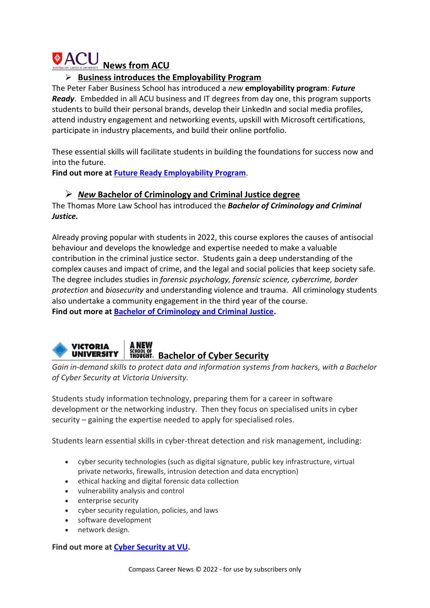# *ACU* **News from ACU**

### ➢ **Business introduces the Employability Program**

The Peter Faber Business School has introduced a *new* **employability program**: *Future Ready*. Embedded in all ACU business and IT degrees from day one, this program supports students to build their personal brands, develop their LinkedIn and social media profiles, attend industry engagement and networking events, upskill with Microsoft certifications, participate in industry placements, and build their online portfolio.

These essential skills will facilitate students in building the foundations for success now and into the future.

**Find out more at Future [Ready Employability Program](https://www.youtube.com/watch?app=desktop&v=0PXAjY1HIn4&_cldee=amFja3kuYnVydG9uQGtub3gudmljLmVkdS5hdQ%3D%3D&recipientid=contact-e25b8c84f79ce311b6fcd89d6765b220-c36232cafef8463eaded04b45630db1f&esid=51893c96-bc87-ec11-93b0-002248924817)**.

### ➢ *New* **Bachelor of Criminology and Criminal Justice degree**

The Thomas More Law School has introduced the *Bachelor of Criminology and Criminal Justice.*

Already proving popular with students in 2022, this course explores the causes of antisocial behaviour and develops the knowledge and expertise needed to make a valuable contribution in the criminal justice sector. Students gain a deep understanding of the complex causes and impact of crime, and the legal and social policies that keep society safe. The degree includes studies in *forensic psychology, forensic science, cybercrime, border protection* and *biosecurity* and understanding violence and trauma. All criminology students also undertake a community engagement in the third year of the course. **Find out more at [Bachelor of Criminology and Criminal Justice.](https://www.acu.edu.au/course/bachelor-of-criminology-and-criminal-justice?_cldee=amFja3kuYnVydG9uQGtub3gudmljLmVkdS5hdQ%3d%3d&recipientid=contact-e25b8c84f79ce311b6fcd89d6765b220-c36232cafef8463eaded04b45630db1f&esid=51893c96-bc87-ec11-93b0-002248924817)**



*Gain in-demand skills to protect data and information systems from hackers, with a Bachelor of Cyber Security at Victoria University.*

Students study information technology, preparing them for a career in software development or the networking industry. Then they focus on specialised units in cyber security – gaining the expertise needed to apply for specialised roles.

Students learn essential skills in cyber-threat detection and risk management, including:

- cyber security technologies (such as digital signature, public key infrastructure, virtual private networks, firewalls, intrusion detection and data encryption)
- ethical hacking and digital forensic data collection
- vulnerability analysis and control
- enterprise security
- cyber security regulation, policies, and laws
- software development
- network design.

**Find out more at [Cyber Security at VU.](https://www.vu.edu.au/courses/bachelor-of-cyber-security-nbcs)**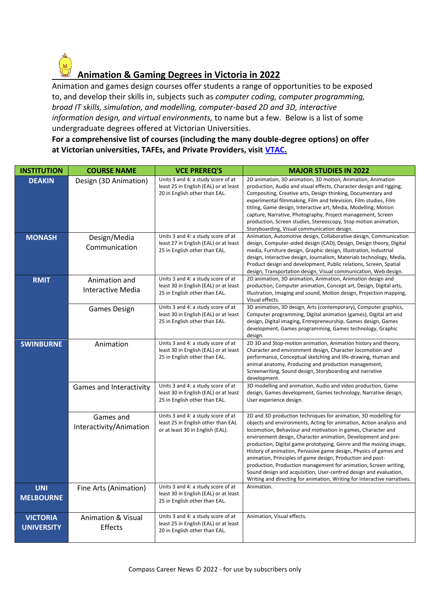### **Animation & Gaming Degrees in Victoria in 2022**

Animation and games design courses offer students a range of opportunities to be exposed to, and develop their skills in, subjects such as *computer coding, computer programming, broad IT skills, simulation, and modelling, computer-based 2D and 3D, interactive information design, and virtual environments,* to name but a few. Below is a list of some undergraduate degrees offered at Victorian Universities. **For a comprehensive list of courses (including the many double-degree options) on offer** 

**at Victorian universities, TAFEs, and Private Providers, visit [VTAC.](http://www.vtac.edu.au/)**

| <b>INSTITUTION</b>                   | <b>COURSE NAME</b>                       | <b>VCE PREREQ'S</b>                                                                                          | <b>MAJOR STUDIES IN 2022</b>                                                                                                                                                                                                                                                                                                                                                                                                                                                                                                                                                                                                                                                                         |
|--------------------------------------|------------------------------------------|--------------------------------------------------------------------------------------------------------------|------------------------------------------------------------------------------------------------------------------------------------------------------------------------------------------------------------------------------------------------------------------------------------------------------------------------------------------------------------------------------------------------------------------------------------------------------------------------------------------------------------------------------------------------------------------------------------------------------------------------------------------------------------------------------------------------------|
| <b>DEAKIN</b>                        | Design (3D Animation)                    | Units 3 and 4: a study score of at<br>least 25 in English (EAL) or at least<br>20 in English other than EAL. | 2D animation, 3D animation, 3D motion, Animation, Animation<br>production, Audio and visual effects, Character design and rigging,<br>Compositing, Creative arts, Design thinking, Documentary and<br>experimental filmmaking, Film and television, Film studies, Film<br>titling, Game design, Interactive art, Media, Modelling, Motion<br>capture, Narrative, Photography, Project management, Screen<br>production, Screen studies, Stereoscopy, Stop motion animation,<br>Storyboarding, Visual communication design.                                                                                                                                                                           |
| <b>MONASH</b>                        | Design/Media<br>Communication            | Units 3 and 4: a study score of at<br>least 27 in English (EAL) or at least<br>25 in English other than EAL. | Animation, Automotive design, Collaborative design, Communication<br>design, Computer-aided design (CAD), Design, Design theory, Digital<br>media, Furniture design, Graphic design, Illustration, Industrial<br>design, Interactive design, Journalism, Materials technology, Media,<br>Product design and development, Public relations, Screen, Spatial<br>design, Transportation design, Visual communication, Web design.                                                                                                                                                                                                                                                                       |
| <b>RMIT</b>                          | Animation and<br>Interactive Media       | Units 3 and 4: a study score of at<br>least 30 in English (EAL) or at least<br>25 in English other than EAL. | 2D animation, 3D animation, Animation, Animation design and<br>production, Computer animation, Concept art, Design, Digital arts,<br>Illustration, Imaging and sound, Motion design, Projection mapping,<br>Visual effects.                                                                                                                                                                                                                                                                                                                                                                                                                                                                          |
|                                      | <b>Games Design</b>                      | Units 3 and 4: a study score of at<br>least 30 in English (EAL) or at least<br>25 in English other than EAL. | 3D animation, 3D design, Arts (contemporary), Computer graphics,<br>Computer programming, Digital animation (games), Digital art and<br>design, Digital imaging, Entrepreneurship, Games design, Games<br>development, Games programming, Games technology, Graphic<br>design.                                                                                                                                                                                                                                                                                                                                                                                                                       |
| <b>SWINBURNE</b>                     | Animation                                | Units 3 and 4: a study score of at<br>least 30 in English (EAL) or at least<br>25 in English other than EAL. | 2D 3D and Stop-motion animation, Animation history and theory,<br>Character and environment design, Character locomotion and<br>performance, Conceptual sketching and life-drawing, Human and<br>animal anatomy, Producing and production management,<br>Screenwriting, Sound design, Storyboarding and narrative<br>development.                                                                                                                                                                                                                                                                                                                                                                    |
|                                      | Games and Interactivity                  | Units 3 and 4: a study score of at<br>least 30 in English (EAL) or at least<br>25 in English other than EAL. | 3D modelling and animation, Audio and video production, Game<br>design, Games development, Games technology, Narrative design,<br>User experience design.                                                                                                                                                                                                                                                                                                                                                                                                                                                                                                                                            |
|                                      | Games and<br>Interactivity/Animation     | Units 3 and 4: a study score of at<br>least 25 in English other than EAL<br>or at least 30 in English (EAL). | 2D and 3D production techniques for animation, 3D modelling for<br>objects and environments, Acting for animation, Action analysis and<br>locomotion, Behaviour and motivation in games, Character and<br>environment design, Character animation, Development and pre-<br>production, Digital game prototyping, Genre and the moving image,<br>History of animation, Pervasive game design, Physics of games and<br>animation, Principles of game design, Production and post-<br>production, Production management for animation, Screen writing,<br>Sound design and acquisition, User-centred design and evaluation,<br>Writing and directing for animation, Writing for interactive narratives. |
| <b>UNI</b><br><b>MELBOURNE</b>       | Fine Arts (Animation)                    | Units 3 and 4: a study score of at<br>least 30 in English (EAL) or at least<br>25 in English other than EAL. | Animation.                                                                                                                                                                                                                                                                                                                                                                                                                                                                                                                                                                                                                                                                                           |
| <b>VICTORIA</b><br><b>UNIVERSITY</b> | <b>Animation &amp; Visual</b><br>Effects | Units 3 and 4: a study score of at<br>least 25 in English (EAL) or at least<br>20 in English other than EAL. | Animation, Visual effects.                                                                                                                                                                                                                                                                                                                                                                                                                                                                                                                                                                                                                                                                           |